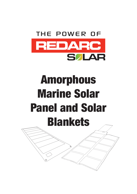

## Amorphous Marine Solar Panel and Solar Blankets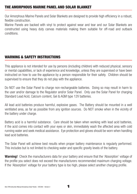#### THE AMORPHOUS MARINE PANEL AND SOLAR BLANKET

Our Amorphous Marine Panels and Solar Blankets are designed to provide high efficiency in a robust, flexible construction.

Marine Panels are backed with vinyl to protect against wear and tear and our Solar Blankets are constructed using heavy duty canvas materials making them suitable for off-road and outback conditions.

#### WARNING & SAFETY INSTRUCTIONS

This appliance is not intended for use by persons (including children) with reduced physical, sensory or mental capabilities, or lack of experience and knowledge, unless they are supervised or have been instructed on how to use the appliance by a person responsible for their safety. Children should be supervised to ensure that they do not play with the appliance.

Do NOT use the Solar Panel to charge non-rechargeable batteries. Doing so may result in harm to the user and/or damage to the Regulator and/or Solar Panel. Only use the Solar Panel for charging Standard Lead Acid, Calcium content, Gel & AGM type 12V batteries.

All lead acid batteries produce harmful, explosive gases. The Battery should be mounted in a well ventilated area, as far as possible from any ignition sources. Do NOT smoke when in the vicinity of the battery under charge.

Battery acid is a harmful substance. Care should be taken when working with lead acid batteries, if the acid comes into contact with your eyes or skin, immediately wash the affected area with cold running water and seek medical assistance. Eye protection and gloves should be worn when handling lead acid batteries.

The Solar Panel will achieve best results when proper battery maintenance is regularly performed. This includes but is not limited to checking water and specific gravity levels of the battery.

**Warning!** Check the manufacturers data for your battery and ensure that the 'Absorption' voltage of the profile you select does not exceed the manufacturers recommended maximum charging voltage. If the 'Absorption' voltage for your battery type is too high, please select another charging profile.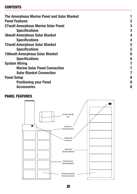#### **CONTENTS**

| The Amorphous Marine Panel and Solar Blanket |   |
|----------------------------------------------|---|
| <b>Panel Features</b>                        | 2 |
| <b>27watt Amorphous Marine Solar Panel</b>   | 3 |
| <b>Specifications</b>                        | 3 |
| <b>36watt Amorphous Solar Blanket</b>        | 4 |
| <b>Specifications</b>                        | 4 |
| <b>72watt Amorphous Solar Blanket</b>        | 5 |
| <b>Specifications</b>                        | 5 |
| <b>108watt Amorphous Solar Blanket</b>       | 6 |
| <b>Specifications</b>                        | 6 |
| <b>System Wiring</b>                         | 7 |
| <b>Marine Solar Panel Connection</b>         | 7 |
| <b>Solar Blanket Connection</b>              |   |
| <b>Panel Setup</b>                           | 8 |
| <b>Positioning your Panel</b>                | 8 |
| <b>Accessories</b>                           | 8 |

#### **PANEL FEATURES**



**2**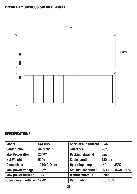

| <b>Model</b>                | <b>SAX1027</b>   | <b>Short circuit Current</b> | 2.4A                            |
|-----------------------------|------------------|------------------------------|---------------------------------|
| <b>Construction</b>         | <b>Amorphous</b> | <b>Tolerance</b>             | $\pm 3\%$                       |
| <b>Max Power (Nom.)</b>     | 26.7W            | <b>Backing Material</b>      | <b>Vinyl</b>                    |
| <b>Net Weight</b>           | 900g             | <b>Cable length</b>          | <b>130mm</b>                    |
| <b>Dimensions</b>           | 1210x410mm       | <b>Operating temp.</b>       | $-40^\circ$ to $+85^\circ$ C    |
| <b>Max power Voltage</b>    | 13.5V            | <b>Std. test conditions</b>  | AM1.5 1000W/m <sup>2</sup> 25°C |
| <b>Max power Current</b>    | 1.9A             | <b>Manufactured in</b>       | China                           |
| <b>Open circuit Voltage</b> | <b>19.4V</b>     | <b>Certification</b>         | <b>CE, RoHS</b>                 |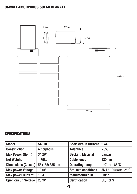

| <b>Model</b>                | <b>SAF1036</b>   | <b>Short circuit Current</b> | 2.4A                            |
|-----------------------------|------------------|------------------------------|---------------------------------|
| <b>Construction</b>         | <b>Amorphous</b> | <b>Tolerance</b>             | $\pm 3\%$                       |
| <b>Max Power (Nom.)</b>     | 34.2W            | <b>Backing Material</b>      | <b>Canvas</b>                   |
| <b>Net Weight</b>           | 1.75kg           | <b>Cable length</b>          | <b>130mm</b>                    |
| <b>Dimensions (Closed)</b>  | 55x155x385mm     | <b>Operating temp.</b>       | $-40^\circ$ to $+85^\circ$ C    |
| <b>Max power Voltage</b>    | <b>18.0V</b>     | <b>Std. test conditions</b>  | AM1.5 1000W/m <sup>2</sup> 25°C |
| <b>Max power Current</b>    | 1.9A             | <b>Manufactured in</b>       | China                           |
| <b>Open circuit Voltage</b> | 25.9V            | <b>Certification</b>         | <b>CE, RoHS</b>                 |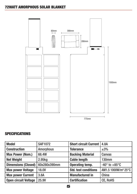

| <b>Model</b>                | <b>SAF1072</b>   | <b>Short circuit Current</b> | 4.8A                            |
|-----------------------------|------------------|------------------------------|---------------------------------|
| <b>Construction</b>         | <b>Amorphous</b> | <b>Tolerance</b>             | $\pm 3\%$                       |
| <b>Max Power (Nom.)</b>     | 68.4W            | <b>Backing Material</b>      | <b>Canvas</b>                   |
| <b>Net Weight</b>           | 2.95kg           | <b>Cable length</b>          | <b>130mm</b>                    |
| <b>Dimensions (Closed)</b>  | 60x280x390mm     | <b>Operating temp.</b>       | $-40^\circ$ to $+85^\circ$ C    |
| <b>Max power Voltage</b>    | <b>18.0V</b>     | <b>Std. test conditions</b>  | AM1.5 1000W/m <sup>2</sup> 25°C |
| <b>Max power Current</b>    | 3.8A             | <b>Manufactured in</b>       | China                           |
| <b>Open circuit Voltage</b> | 25.9V            | <b>Certification</b>         | <b>CE, RoHS</b>                 |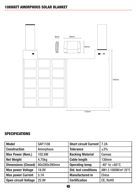

| <b>Model</b>                | <b>SAF1108</b>   | <b>Short circuit Current   7.2A</b> |                                 |
|-----------------------------|------------------|-------------------------------------|---------------------------------|
| <b>Construction</b>         | <b>Amorphous</b> | <b>Tolerance</b>                    | $\pm 3\%$                       |
| <b>Max Power (Nom.)</b>     | 102.6W           | <b>Backing Material</b>             | Canvas                          |
| <b>Net Weight</b>           | 4.75kg           | <b>Cable length</b>                 | <b>130mm</b>                    |
| <b>Dimensions (Closed)</b>  | 60x280x390mm     | <b>Operating temp.</b>              | $-40^\circ$ to $+85^\circ$ C    |
| <b>Max power Voltage</b>    | <b>18.0V</b>     | <b>Std. test conditions</b>         | AM1.5 1000W/m <sup>2</sup> 25°C |
| <b>Max power Current</b>    | 5.7A             | <b>Manufactured in</b>              | China                           |
| <b>Open circuit Voltage</b> | 25.9V            | <b>Certification</b>                | <b>CE, RoHS</b>                 |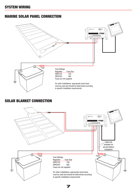#### MARINE SOLAR PANEL CONNECTION



#### SOLAR BLANKET CONNECTION

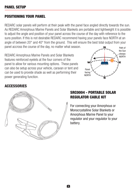#### **POSITIONING YOUR PANEL**

REDARC solar panels will perform at their peak with the panel face angled directly towards the sun. As REDARC Amorphous Marine Panels and Solar Blankets are portable and lightweight it is possible to adjust the angle and position of your panel across the course of the day with reference to the suns position. If this is not desirable REDARC recommend having your panels face NORTH at an angle of between 20° and 40° from the ground. This will ensure the best total output from your panel accross the course of the day, no matter what season. **N**

REDARC Amorphous Marine Panels and Solar Blankets features reinforced eyelets at the four corners of the panel to allow for various mounting options. These panels can also be setup across your vehicle, caravan or tent and can be used to provide shade as well as performing their power generating function.



#### **ACCESSORIES**



#### **SRC0004 - PORTABLE SOLAR REGULATOR CABLE KIT**

For connecting your Amorphous or Monocrystalline Solar Blankets or Amorphous Marine Panel to your regulator and your regulator to your battery.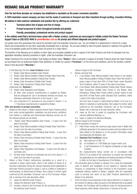## REDARC SOLAR PRODUCT WARRANTY

Over the last three decades our company has established a reputation as the power conversion specialist.

A 100% Australian-owned company, we have met the needs of customers in transport and other industries through exciting, innovative thinking.

We believe in total customer satisfaction and practice this by offering our customers:

- Technical advice free of jargon and free of charge
- Prompt turnaround of orders throughout Australia and globally
- Friendly, personalised, professional service and product support

In the unlikely event that a technical issue arises with a Redarc product, customers are encouraged to initially contact the Redarc Technical Support Team on (08) 8322 4848 or power@redarc.com.au for prompt and efficient diagnosis and product support.

Our goods come with guarantees that cannot be excluded under the Australian Consumer Law. You are entitled to a replacement or refund for a major failure and compensation for any other reasonably foreseeable loss or damage. You are also entitled to have the goods repaired or replaced if the goods fail to be of acceptable quality and the failure does not amount to a major failure.

The benefits of this Warranty are in addition to other rights and remedies available at law in respect of the Solar Products and shall not derogate from any applicable mandatory statutory provisions or rights under the Australian Consumer Law.

Redarc Electronics Pty Ltd atf the Redarc Trust trading as Redarc Solar ("Redarc") offers a warranty in respect of its Solar Products where the Solar Products are purchased from an authorised Redarc Solar distributor or reseller by a person ("Purchaser"), on the terms and conditions, and for the duration, outlined below in this document ("Warranty").

- 1. In this Warranty, the term **Solar Products** means:
	- 1.1 Redarc Solar Monocrystalline Solar Panels;
	- 1.2 Redarc Solar Monocrystalline Folding Portable Solar Panel Kits;
	- 1.3 Redarc Solar Monocrystalline Folding Solar Panels;
	- 1.4 Redarc Solar Amorphous Flexible Solar Panels;
	- 1.5 Redarc Solar Amorphous Folding Solar Panels;

(collectively the "Modules");

- 1.6 Redarc Solar Regulators and Displays;
- 1.7 all other solar products manufactured or supplied by Redarc that are designed for use in recreational vehicles and boats, not otherwise specifically referred to in this clause 1; and
- 1.8 any component of or accessory for any product in clause 1.1 to 1.7 (inclusive) manufactured or supplied by Redarc.

#### Offer and duration of product warranties

- 2. Subject to this clause 2, Redarc warrants that its Solar Products will be free, under normal application, installation, use and service conditions, from defects in materials and workmanship affecting normal use, for the relevant periods set out below:
	- 2.1 Redarc Solar Monocrystalline Solar Panels 5 years from the date of purchase;
	- 2.2 Redarc Solar Monocrystalline Folding Portable Solar Panel Kits 5 years from the date of purchase;
	- 2.3 Redarc Solar Monocrystalline Folding Solar Panels 2 year from the date of purchase;;
	- 2.4 Redarc Solar Amorphous Flexible Solar Panels 2 years from the date of purchase;
	- 2.5 Redarc Solar Amorphous Folding Solar Panels 2 years from the date of purchase;
	- 2.6 Redarc Solar Regulators and Displays 2 years from the date of purchase; and
	- 2.7 all other Solar Products not otherwise set out in this clause  $2 2$ years from the date of purchase.
- 3. Where a Solar Product malfunctions (excluding as a result of a reduction in power output levels, which is the subject of clause 4) or becomes inoperative during the relevant warranty period applicable to that Solar Product pursuant to clause 2, due to a defect in materials or workmanship, as determined by Redarc, then subject to further rights conferred by the Australian Consumer Law on the Purchaser, Redarc will, in exercise of its sole discretion, either:
	- 3.1 repair the defective Solar Product;
	- 3.2 replace the defective Solar Product; or
	- 3.3 provide a refund to the Purchaser for the purchase price paid for the defective Solar Product,

without charge to the Purchaser.

- 4. Redarc warrants that:
	- 4.1 if any Redarc Solar Monocrystalline Solar Panels or any Redarc Solar Monocrystalline Folding Portable Solar Panel Kits exhibit a power output of less than 80% of Peak Power under Standard Test Conditions, within 25 years of the date of purchase;
	- 4.2 if any Redarc Solar Monocrystalline Folding Solar Panels, Redarc Solar Amorphous Flexible Solar Panels or any Redarc Solar Amorphous Folding Solar Panels exhibit a power output of less than 80% of Peak Power under Standard Test Conditions, within 5 years of the date of purchase;

 and such loss of power is determined by Redarc to be due to a defect in materials or workmanship, then subject to further rights conferred by the Australian Consumer Law on the Purchaser, Redarc will, in exercise of its sole discretion, either:

- 4.3 make up the loss in power by supplying the Purchaser with relevant additional Modules; or
- 4.4 repair or replace the defective Modules,
- without charge to the Purchaser.
- 5. For the purposes of clause 4:
	- 5.1 Peak Power means the minimum peak power level in Watts that a Module generates in its maximum power point (as stated on the label affixed to the Module or on the product information sheet accompanying the Module); and
	- 5.2 Standard Test Conditions means:
		- (a) light spectrum of AM 1.5;
		- (b) an irradiation of 1,000 Watts per square metre; and
		- (c) a cell temperature of 25 degrees centigrade at right angle irridation,
		- the measurements being carried out in accordance with IEC61215 as tested at the connectors or junction box terminals (as applicable) per the calibration and testing standards of Redarc in effect on the date of manufacture of the Module.
- 6. The warranties given by Redarc in clauses 2 to 4 cover the reasonable costs of delivery and installation of any repaired or replaced Solar Products or components of Solar Products to the Purchaser's usual residential address notified to Redarc, together with the reasonable costs of removal and return of any Solar Products determined by Redarc to be defective.
- 7. If the Purchaser incurs expenses of the nature referred to in clause 6 in the context of making a claim pursuant to this Warranty that is accepted by Redarc, the Purchaser will be entitled to claim for reimbursement of those expenses which Redarc determines, in exercise of its sole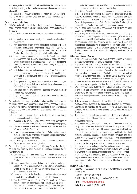discretion, to be reasonably incurred, provided that the claim is notified to Redarc in writing at the postal address or email address specified in clause 23 and includes:

- 7.1 details of the relevant expenses incurred by the Purchaser; and
- 7.2 proof of the relevant expenses having been incurred by the Purchaser.

#### Exclusions and limitations

- 8. This Warranty will not apply to, or include any defect, damage, fault, failure or malfunction of a Solar Product, which Redarc determines to be due to:
	- 8.1 normal wear and tear or exposure to weather conditions over time;
	- 8.2 accident, misuse, abuse, negligence, vandalism, alteration or modification:
	- 8.3 non-observance of any of the instructions supplied by Redarc, including instructions concerning installation, configuring, connecting, commissioning, use or application of the Solar Product, including without limitation choice of location;
	- 8.4 failure to ensure proper maintenance of the Solar Product strictly in accordance with Redarc's instructions or failure to ensure proper maintenance of any associated equipment or machinery;
	- 8.5 repairs to the Solar Product that are not strictly in accordance with Redarc's instructions;
	- 8.6 installation, repairs or maintenance of the Solar Product by, or under the supervision of, a person who is not a qualified auto electrician or technician, or if non-genuine or non-approved parts have been fitted;
	- 8.7 faulty power supply, power failure, electrical spikes or surges, lightning, flood, storm, hail, extreme heat, fire or other occurrence outside the control of Redarc;
	- 8.8 use other than for any reasonable purpose for which the Solar Product was manufactured;
	- 8.9 any indirect or incidental damage of whatever nature outside the control of Redarc.
- 9. Warranty claims in respect of a Solar Product must be made in writing to Redarc at the postal address or email address specified in clause 23 within the relevant warranty period applicable to that Solar Product pursuant to clause 2 or clause 4. Such claims must include the following:
	- 9.1 details of the alleged defect or fault and the circumstances surrounding the defect or fault;
	- 9.2 evidence of the claim, including photographs of the Solar Product (where the subject of the claim is capable of being photographed);
	- 9.3 the serial number of the Solar Product, specified on the label affixed to the Solar Product: and
	- 9.4 proof of purchase documentation for the Solar Product from an authorised distributor or reseller of Redarc, which clearly shows the date and place of purchase.
	- The return of any Solar Products without the prior written instructions of Redarc will not be accepted by Redarc.
- 10. Without limiting any other clause in this Warranty, Redarc has the right to reject any warranty claim made by a Purchaser pursuant to this Warranty where:
	- 10.1 the Purchaser does not notify Redarc in writing of a warranty claim within relevant warranty period applicable to that Solar Product;
	- 10.2 the Purchaser does not notify Redarc in writing of a warranty claim within 1 month of becoming aware of the relevant circumstances giving rise to the claim, so that any further problems with the Solar Product are minimised;
	- 10.3 the serial number of the Solar Product has been altered, removed or made illegible without the written authority of Redarc;
	- 10.4 the Purchaser is unable to provide proof of purchase documentation in accordance with clause 9.4 or evidence that the Solar Product was properly installed, and that proper maintenance has been performed on the Solar Product, by, or

under the supervision of, a qualified auto electrician or technician, in accordance with the instructions of Redarc.

- 11. If the Solar Product is found to be working satisfactorily on return to Redarc or upon investigation by Redarc, the Purchaser must pay Redarc's reasonable costs of testing and investigating the Solar Product in addition to shipping and transportation charges. Where Redarc is in possession of the Solar Product, the Solar Product will be returned to the Purchaser on receipt of the amount charged.
- 12. Any replaced Solar Products or components of Solar Products shall become the property of Redarc.
- 13. Redarc may, in exercise of its sole discretion, deliver another type of Solar Product or component of a Solar Product (different in size, colour, shape, weight, brand and/or other specifications) in fulfilling its obligations under this Warranty, in the event that Redarc has discontinued manufacturing or supplying the relevant Solar Product or component at the time of the warranty claim, or where such Solar Product or component is superior to that originally purchased by the Purchaser.

#### Other conditions of Warranty

- 14. If the Purchaser acquired a Solar Product for the purpose of resupply, then this Warranty shall not apply to that Solar Product.
- 15. In particular, the sale of a Solar Product via an online auction, online store or other internet website by a party that is not an authorised distributor or reseller of the Solar Product will be deemed to be a resupply within the meaning of the Australian Consumer Law and will render this Warranty void, as Redarc has no control over the storage, handling, quality or safety of Solar Products sold by such persons.
- 16. A Purchaser shall only be entitled to the benefit of this Warranty after all amounts owing in respect of the Solar Product have been paid.
- 17. While Redarc warrants that the Solar Products will be free from defects in materials and workmanship in the circumstances set out in this Warranty, to the maximum extent permitted by law Redarc does not warrant that the operation of the Solar Products will be uninterrupted or error-free.
- 18. To the maximum extent permitted by law, Redarc's determination of the existence of any defect and the cause of any defect will be conclusive.
- 19. Spare parts or materials for the Solar Products are guaranteed to be available for a period of at least 2 years after purchase of the Solar Products.
- 20. The agents, officers and employees of any distributor or reseller of the Solar Products and of Redarc are not authorised to vary or extend the terms of this Warranty.
- 21. Redarc shall not be responsible or liable to the Customer or any third party in connection with any non-performance or delay in performance of any terms and conditions of this Warranty, due to acts of God, war, riots, strikes, warlike conditions, plague or other epidemic, fire, flood, blizzard, hurricane, changes of public policies, terrorism and other events which are beyond the control of Redarc. In such circumstances, Redarc may suspend performance of this Warranty without liability for the period of the delay reasonably attributable to such causes.
- 22. If a clause or part of a clause in this Warranty can be read in a way that makes it illegal, unenforceable or invalid, but can also be read in a way that makes it legal, enforceable and valid, it must be read in the latter way. If any clause or part of a clause in this Warranty is illegal, unenforceable or invalid, that clause or part is to be treated as removed from this Warranty, but the rest of this Warranty is not affected.

#### Redarc's contact details

23. Redarc's contact details for the sending of warranty claims under the Warranty are:

Redarc Electronics Pty Ltd

23 Brodie Road (North), Lonsdale SA 5160 Email: power@redarc.com.au Telephone: +61 8 8322 4848